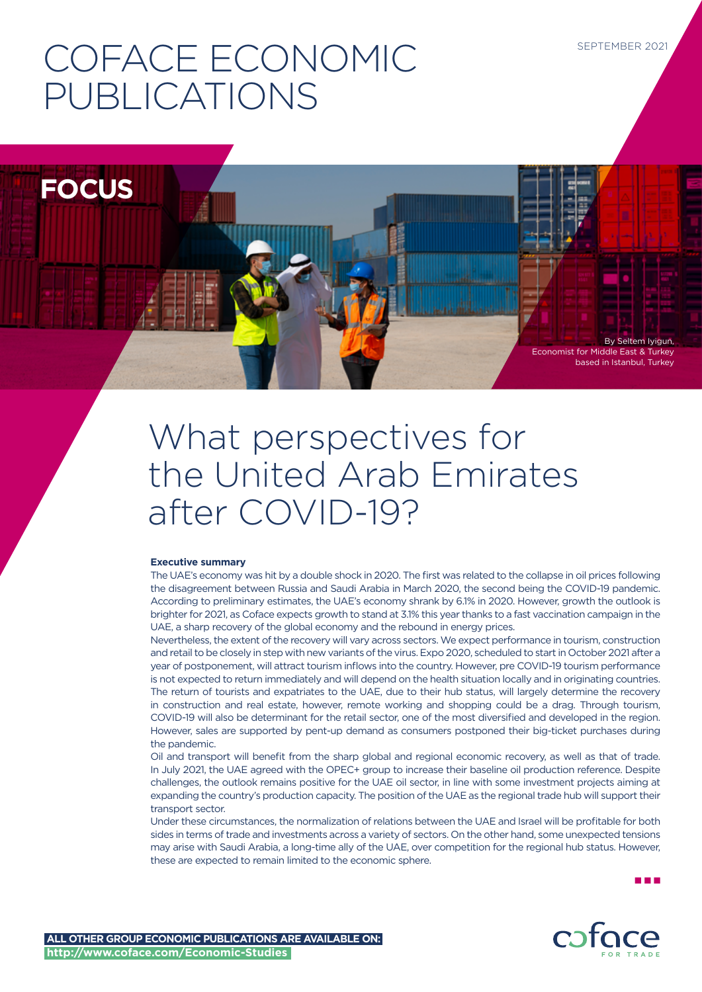# COFACE ECONOMIC PUBLICATIONS

**FOCUS**

Economist for Middle East & Turkey based in Istanbul, Turkey

By Seltem Iyigun,

## What perspectives for the United Arab Emirates after COVID-19?

## **Executive summary**

The UAE's economy was hit by a double shock in 2020. The first was related to the collapse in oil prices following the disagreement between Russia and Saudi Arabia in March 2020, the second being the COVID-19 pandemic. According to preliminary estimates, the UAE's economy shrank by 6.1% in 2020. However, growth the outlook is brighter for 2021, as Coface expects growth to stand at 3.1% this year thanks to a fast vaccination campaign in the UAE, a sharp recovery of the global economy and the rebound in energy prices.

Nevertheless, the extent of the recovery will vary across sectors. We expect performance in tourism, construction and retail to be closely in step with new variants of the virus. Expo 2020, scheduled to start in October 2021 after a year of postponement, will attract tourism inflows into the country. However, pre COVID-19 tourism performance is not expected to return immediately and will depend on the health situation locally and in originating countries. The return of tourists and expatriates to the UAE, due to their hub status, will largely determine the recovery in construction and real estate, however, remote working and shopping could be a drag. Through tourism, COVID-19 will also be determinant for the retail sector, one of the most diversified and developed in the region. However, sales are supported by pent-up demand as consumers postponed their big-ticket purchases during the pandemic.

Oil and transport will benefit from the sharp global and regional economic recovery, as well as that of trade. In July 2021, the UAE agreed with the OPEC+ group to increase their baseline oil production reference. Despite challenges, the outlook remains positive for the UAE oil sector, in line with some investment projects aiming at expanding the country's production capacity. The position of the UAE as the regional trade hub will support their transport sector

Under these circumstances, the normalization of relations between the UAE and Israel will be profitable for both sides in terms of trade and investments across a variety of sectors. On the other hand, some unexpected tensions may arise with Saudi Arabia, a long-time ally of the UAE, over competition for the regional hub status. However, these are expected to remain limited to the economic sphere.

n n n

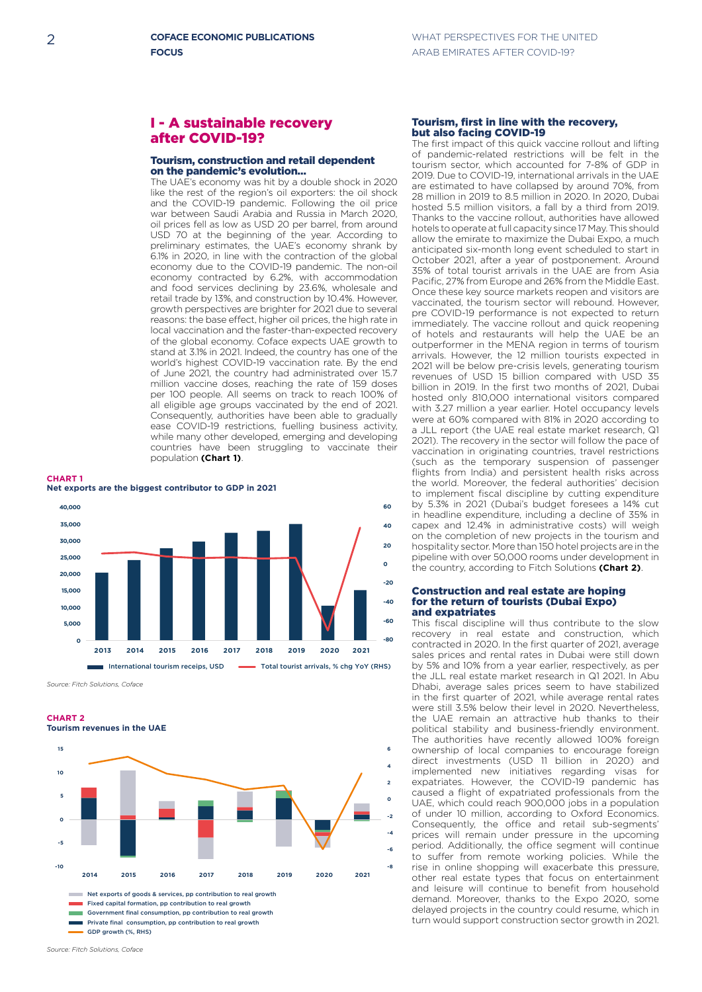## I - A sustainable recovery after COVID-19?

## Tourism, construction and retail dependent on the pandemic's evolution…

The UAE's economy was hit by a double shock in 2020 like the rest of the region's oil exporters: the oil shock and the COVID-19 pandemic. Following the oil price war between Saudi Arabia and Russia in March 2020, oil prices fell as low as USD 20 per barrel, from around USD 70 at the beginning of the year. According to preliminary estimates, the UAE's economy shrank by 6.1% in 2020, in line with the contraction of the global economy due to the COVID-19 pandemic. The non-oil economy contracted by 6.2%, with accommodation and food services declining by 23.6%, wholesale and retail trade by 13%, and construction by 10.4%. However, growth perspectives are brighter for 2021 due to several reasons: the base effect, higher oil prices, the high rate in local vaccination and the faster-than-expected recovery of the global economy. Coface expects UAE growth to stand at 3.1% in 2021. Indeed, the country has one of the world's highest COVID-19 vaccination rate. By the end of June 2021, the country had administrated over 15.7 million vaccine doses, reaching the rate of 159 doses per 100 people. All seems on track to reach 100% of all eligible age groups vaccinated by the end of 2021. Consequently, authorities have been able to gradually ease COVID-19 restrictions, fuelling business activity, while many other developed, emerging and developing countries have been struggling to vaccinate their population **(Chart 1)**.

**CHART 1**



**<sup>0</sup>** *Source: Fitch Solutions, Coface*

**<sup>15</sup> CHART 2 Tourism revenues in the UAE**



GDP growth (%, RHS)

#### Tourism, first in line with the recovery, but also facing COVID-19

The first impact of this quick vaccine rollout and lifting of pandemic-related restrictions will be felt in the tourism sector, which accounted for 7-8% of GDP in 2019. Due to COVID-19, international arrivals in the UAE are estimated to have collapsed by around 70%, from 28 million in 2019 to 8.5 million in 2020. In 2020, Dubai hosted 5.5 million visitors, a fall by a third from 2019. Thanks to the vaccine rollout, authorities have allowed hotels to operate at full capacity since 17 May. This should allow the emirate to maximize the Dubai Expo, a much anticipated six-month long event scheduled to start in October 2021, after a year of postponement. Around 35% of total tourist arrivals in the UAE are from Asia Pacific, 27% from Europe and 26% from the Middle East. Once these key source markets reopen and visitors are vaccinated, the tourism sector will rebound. However, pre COVID-19 performance is not expected to return immediately. The vaccine rollout and quick reopening of hotels and restaurants will help the UAE be an outperformer in the MENA region in terms of tourism arrivals. However, the 12 million tourists expected in 2021 will be below pre-crisis levels, generating tourism revenues of USD 15 billion compared with USD 35 billion in 2019. In the first two months of 2021, Dubai hosted only 810,000 international visitors compared with 3.27 million a year earlier. Hotel occupancy levels were at 60% compared with 81% in 2020 according to a JLL report (the UAE real estate market research, Q1 2021). The recovery in the sector will follow the pace of vaccination in originating countries, travel restrictions (such as the temporary suspension of passenger flights from India) and persistent health risks across the world. Moreover, the federal authorities' decision to implement fiscal discipline by cutting expenditure by 5.3% in 2021 (Dubai's budget foresees a 14% cut in headline expenditure, including a decline of 35% in capex and 12.4% in administrative costs) will weigh on the completion of new projects in the tourism and hospitality sector. More than 150 hotel projects are in the pipeline with over 50,000 rooms under development in the country, according to Fitch Solutions **(Chart 2)**.

#### Construction and real estate are hoping for the return of tourists (Dubai Expo) and expatriates

This fiscal discipline will thus contribute to the slow recovery in real estate and construction, which contracted in 2020. In the first quarter of 2021, average sales prices and rental rates in Dubai were still down by 5% and 10% from a year earlier, respectively, as per the JLL real estate market research in Q1 2021. In Abu Dhabi, average sales prices seem to have stabilized in the first quarter of 2021, while average rental rates were still 3.5% below their level in 2020. Nevertheless, the UAE remain an attractive hub thanks to their **6** political stability and business-friendly environment. The authorities have recently allowed 100% foreign **4** ownership of local companies to encourage foreign **2** direct investments (USD 11 billion in 2020) and implemented new initiatives regarding visas for **0** expatriates. However, the COVID-19 pandemic has caused a flight of expatriated professionals from the **-2** UAE, which could reach 900,000 jobs in a population of under 10 million, according to Oxford Economics. **-4** Consequently, the office and retail sub-segments' prices will remain under pressure in the upcoming **-6** period. Additionally, the office segment will continue to suffer from remote working policies. While the rise in online shopping will exacerbate this pressure, other real estate types that focus on entertainment and leisure will continue to benefit from household demand. Moreover, thanks to the Expo 2020, some delayed projects in the country could resume, which in turn would support construction sector growth in 2021.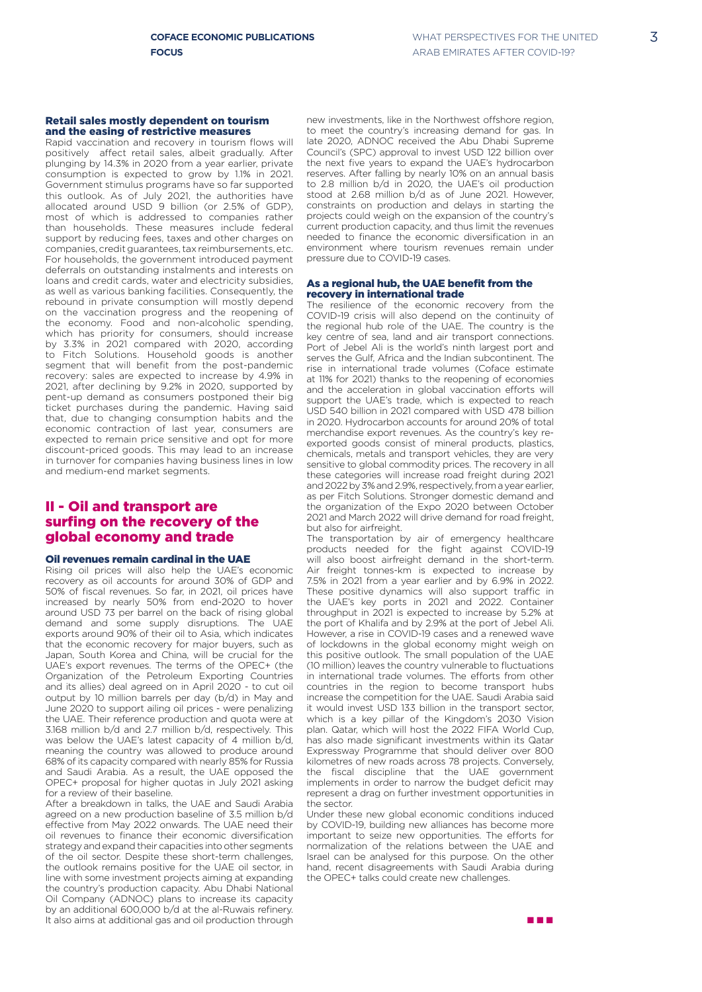#### Retail sales mostly dependent on tourism and the easing of restrictive measures

Rapid vaccination and recovery in tourism flows will positively affect retail sales, albeit gradually. After plunging by 14.3% in 2020 from a year earlier, private consumption is expected to grow by 1.1% in 2021. Government stimulus programs have so far supported this outlook. As of July 2021, the authorities have allocated around USD 9 billion (or 2.5% of GDP) most of which is addressed to companies rather than households. These measures include federal support by reducing fees, taxes and other charges on companies, credit guarantees, tax reimbursements, etc. For households, the government introduced payment deferrals on outstanding instalments and interests on loans and credit cards, water and electricity subsidies, as well as various banking facilities. Consequently, the rebound in private consumption will mostly depend on the vaccination progress and the reopening of the economy. Food and non-alcoholic spending, which has priority for consumers, should increase by 3.3% in 2021 compared with 2020, according to Fitch Solutions. Household goods is another segment that will benefit from the post-pandemic recovery: sales are expected to increase by 4.9% in 2021, after declining by 9.2% in 2020, supported by pent-up demand as consumers postponed their big ticket purchases during the pandemic. Having said that, due to changing consumption habits and the economic contraction of last year, consumers are expected to remain price sensitive and opt for more discount-priced goods. This may lead to an increase in turnover for companies having business lines in low and medium-end market segments.

## II - Oil and transport are surfing on the recovery of the global economy and trade

## Oil revenues remain cardinal in the UAE

Rising oil prices will also help the UAE's economic recovery as oil accounts for around 30% of GDP and 50% of fiscal revenues. So far, in 2021, oil prices have increased by nearly 50% from end-2020 to hover around USD 73 per barrel on the back of rising global demand and some supply disruptions. The UAE exports around 90% of their oil to Asia, which indicates that the economic recovery for major buyers, such as Japan, South Korea and China, will be crucial for the UAE's export revenues. The terms of the OPEC+ (the Organization of the Petroleum Exporting Countries and its allies) deal agreed on in April 2020 - to cut oil output by 10 million barrels per day (b/d) in May and June 2020 to support ailing oil prices - were penalizing the UAE. Their reference production and quota were at 3.168 million b/d and 2.7 million b/d, respectively. This was below the UAE's latest capacity of 4 million b/d, meaning the country was allowed to produce around 68% of its capacity compared with nearly 85% for Russia and Saudi Arabia. As a result, the UAE opposed the OPEC+ proposal for higher quotas in July 2021 asking for a review of their baseline.

After a breakdown in talks, the UAE and Saudi Arabia agreed on a new production baseline of 3.5 million b/d effective from May 2022 onwards. The UAE need their oil revenues to finance their economic diversification strategy and expand their capacities into other segments of the oil sector. Despite these short-term challenges, the outlook remains positive for the UAE oil sector, in line with some investment projects aiming at expanding the country's production capacity. Abu Dhabi National Oil Company (ADNOC) plans to increase its capacity by an additional 600,000 b/d at the al-Ruwais refinery. It also aims at additional gas and oil production through n n n

new investments, like in the Northwest offshore region, to meet the country's increasing demand for gas. In late 2020, ADNOC received the Abu Dhabi Supreme Council's (SPC) approval to invest USD 122 billion over the next five years to expand the UAE's hydrocarbon reserves. After falling by nearly 10% on an annual basis to 2.8 million b/d in 2020, the UAE's oil production stood at 2.68 million b/d as of June 2021. However, constraints on production and delays in starting the projects could weigh on the expansion of the country's current production capacity, and thus limit the revenues needed to finance the economic diversification in an environment where tourism revenues remain under pressure due to COVID-19 cases.

#### As a regional hub, the UAE benefit from the recovery in international trade

The resilience of the economic recovery from the COVID-19 crisis will also depend on the continuity of the regional hub role of the UAE. The country is the key centre of sea, land and air transport connections. Port of Jebel Ali is the world's ninth largest port and serves the Gulf, Africa and the Indian subcontinent. The rise in international trade volumes (Coface estimate at 11% for 2021) thanks to the reopening of economies and the acceleration in global vaccination efforts will support the UAE's trade, which is expected to reach USD 540 billion in 2021 compared with USD 478 billion in 2020. Hydrocarbon accounts for around 20% of total merchandise export revenues. As the country's key reexported goods consist of mineral products, plastics, chemicals, metals and transport vehicles, they are very sensitive to global commodity prices. The recovery in all these categories will increase road freight during 2021 and 2022 by 3% and 2.9%, respectively, from a year earlier, as per Fitch Solutions. Stronger domestic demand and the organization of the Expo 2020 between October 2021 and March 2022 will drive demand for road freight, but also for airfreight.

The transportation by air of emergency healthcare products needed for the fight against COVID-19 will also boost airfreight demand in the short-term. Air freight tonnes-km is expected to increase by 7.5% in 2021 from a year earlier and by 6.9% in 2022. These positive dynamics will also support traffic in the UAE's key ports in 2021 and 2022. Container throughput in 2021 is expected to increase by 5.2% at the port of Khalifa and by 2.9% at the port of Jebel Ali. However, a rise in COVID-19 cases and a renewed wave of lockdowns in the global economy might weigh on this positive outlook. The small population of the UAE (10 million) leaves the country vulnerable to fluctuations in international trade volumes. The efforts from other countries in the region to become transport hubs increase the competition for the UAE. Saudi Arabia said it would invest USD 133 billion in the transport sector, which is a key pillar of the Kingdom's 2030 Vision plan. Qatar, which will host the 2022 FIFA World Cup, has also made significant investments within its Qatar Expressway Programme that should deliver over 800 kilometres of new roads across 78 projects. Conversely, the fiscal discipline that the UAE government implements in order to narrow the budget deficit may represent a drag on further investment opportunities in the sector.

Under these new global economic conditions induced by COVID-19, building new alliances has become more important to seize new opportunities. The efforts for normalization of the relations between the UAE and Israel can be analysed for this purpose. On the other hand, recent disagreements with Saudi Arabia during the OPEC+ talks could create new challenges.